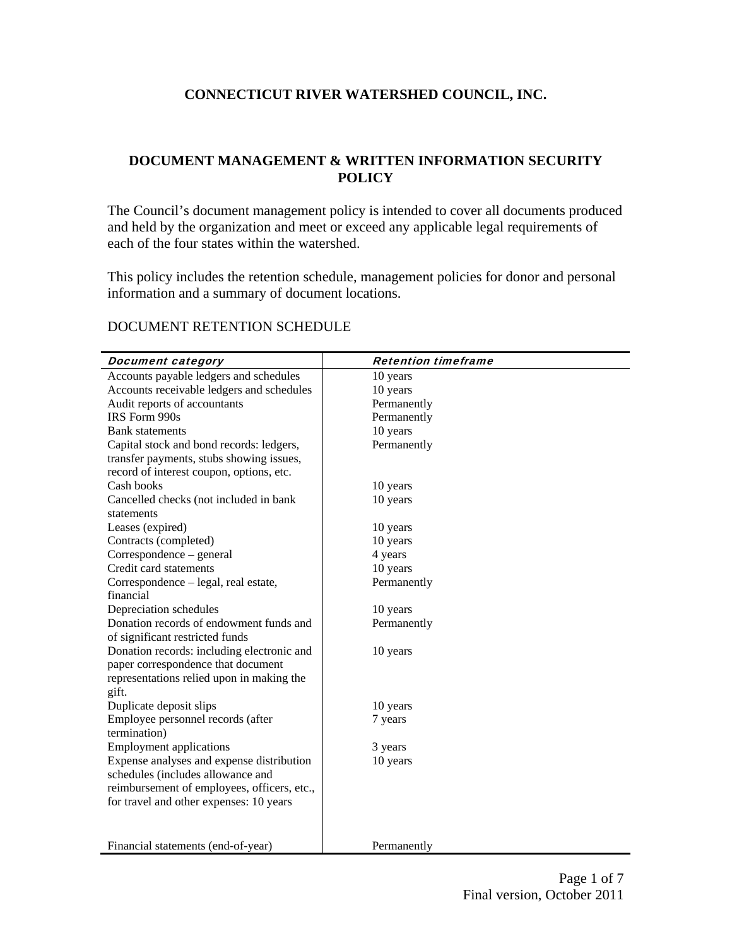# **CONNECTICUT RIVER WATERSHED COUNCIL, INC.**

## **DOCUMENT MANAGEMENT & WRITTEN INFORMATION SECURITY POLICY**

The Council's document management policy is intended to cover all documents produced and held by the organization and meet or exceed any applicable legal requirements of each of the four states within the watershed.

This policy includes the retention schedule, management policies for donor and personal information and a summary of document locations.

### DOCUMENT RETENTION SCHEDULE

| <b>Document category</b>                    | <b>Retention timeframe</b> |
|---------------------------------------------|----------------------------|
| Accounts payable ledgers and schedules      | 10 years                   |
| Accounts receivable ledgers and schedules   | 10 years                   |
| Audit reports of accountants                | Permanently                |
| IRS Form 990s                               | Permanently                |
| <b>Bank</b> statements                      | 10 years                   |
| Capital stock and bond records: ledgers,    | Permanently                |
| transfer payments, stubs showing issues,    |                            |
| record of interest coupon, options, etc.    |                            |
| Cash books                                  | 10 years                   |
| Cancelled checks (not included in bank      | 10 years                   |
| statements                                  |                            |
| Leases (expired)                            | 10 years                   |
| Contracts (completed)                       | 10 years                   |
| Correspondence – general                    | 4 years                    |
| Credit card statements                      | 10 years                   |
| Correspondence - legal, real estate,        | Permanently                |
| financial                                   |                            |
| Depreciation schedules                      | 10 years                   |
| Donation records of endowment funds and     | Permanently                |
| of significant restricted funds             |                            |
| Donation records: including electronic and  | 10 years                   |
| paper correspondence that document          |                            |
| representations relied upon in making the   |                            |
| gift.                                       |                            |
| Duplicate deposit slips                     | 10 years                   |
| Employee personnel records (after           | 7 years                    |
| termination)                                |                            |
| <b>Employment applications</b>              | 3 years                    |
| Expense analyses and expense distribution   | 10 years                   |
| schedules (includes allowance and           |                            |
| reimbursement of employees, officers, etc., |                            |
| for travel and other expenses: 10 years     |                            |
|                                             |                            |
|                                             |                            |
| Financial statements (end-of-year)          | Permanently                |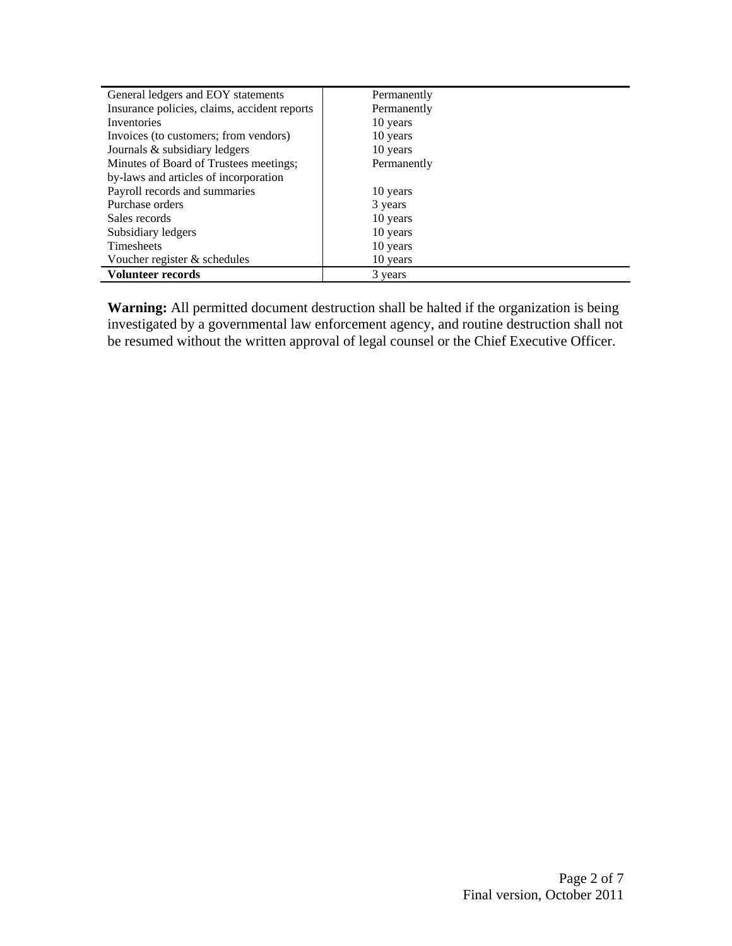| General ledgers and EOY statements           | Permanently |
|----------------------------------------------|-------------|
| Insurance policies, claims, accident reports | Permanently |
| Inventories                                  | 10 years    |
| Invoices (to customers; from vendors)        | 10 years    |
| Journals & subsidiary ledgers                | 10 years    |
| Minutes of Board of Trustees meetings;       | Permanently |
| by-laws and articles of incorporation        |             |
| Payroll records and summaries                | 10 years    |
| Purchase orders                              | 3 years     |
| Sales records                                | 10 years    |
| Subsidiary ledgers                           | 10 years    |
| <b>Timesheets</b>                            | 10 years    |
| Voucher register & schedules                 | 10 years    |
| Volunteer records                            | 3 years     |

**Warning:** All permitted document destruction shall be halted if the organization is being investigated by a governmental law enforcement agency, and routine destruction shall not be resumed without the written approval of legal counsel or the Chief Executive Officer.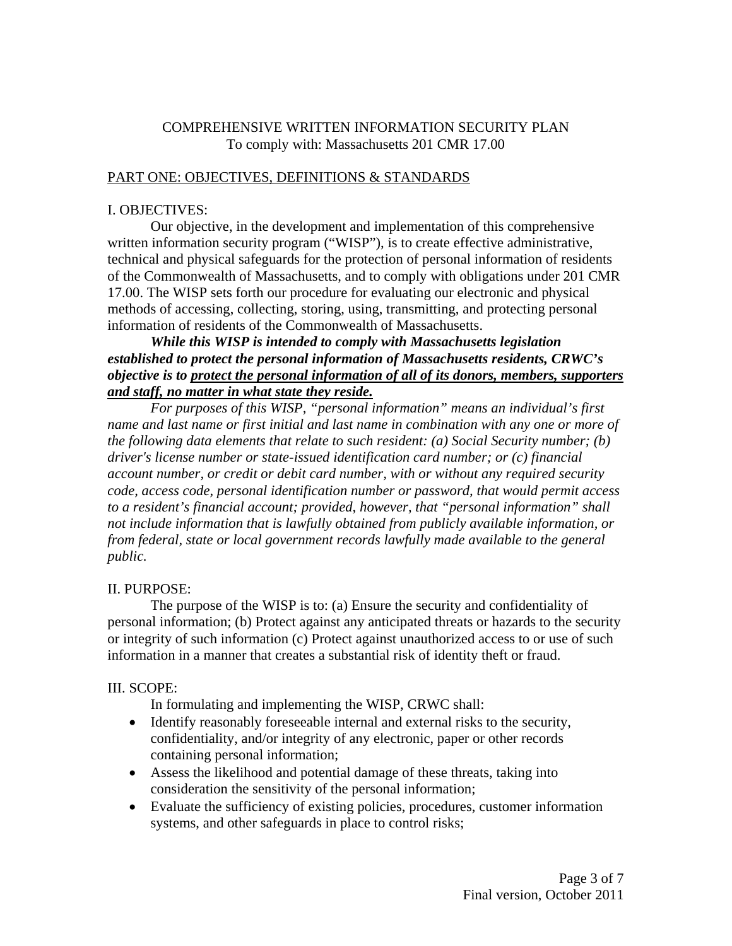### COMPREHENSIVE WRITTEN INFORMATION SECURITY PLAN To comply with: Massachusetts 201 CMR 17.00

#### PART ONE: OBJECTIVES, DEFINITIONS & STANDARDS

#### I. OBJECTIVES:

Our objective, in the development and implementation of this comprehensive written information security program ("WISP"), is to create effective administrative, technical and physical safeguards for the protection of personal information of residents of the Commonwealth of Massachusetts, and to comply with obligations under 201 CMR 17.00. The WISP sets forth our procedure for evaluating our electronic and physical methods of accessing, collecting, storing, using, transmitting, and protecting personal information of residents of the Commonwealth of Massachusetts.

#### *While this WISP is intended to comply with Massachusetts legislation established to protect the personal information of Massachusetts residents, CRWC's objective is to protect the personal information of all of its donors, members, supporters and staff, no matter in what state they reside.*

*For purposes of this WISP, "personal information" means an individual's first name and last name or first initial and last name in combination with any one or more of the following data elements that relate to such resident: (a) Social Security number; (b) driver's license number or state-issued identification card number; or (c) financial account number, or credit or debit card number, with or without any required security code, access code, personal identification number or password, that would permit access to a resident's financial account; provided, however, that "personal information" shall not include information that is lawfully obtained from publicly available information, or from federal, state or local government records lawfully made available to the general public.* 

### II. PURPOSE:

The purpose of the WISP is to: (a) Ensure the security and confidentiality of personal information; (b) Protect against any anticipated threats or hazards to the security or integrity of such information (c) Protect against unauthorized access to or use of such information in a manner that creates a substantial risk of identity theft or fraud.

### III. SCOPE:

In formulating and implementing the WISP, CRWC shall:

- Identify reasonably foreseeable internal and external risks to the security, confidentiality, and/or integrity of any electronic, paper or other records containing personal information;
- Assess the likelihood and potential damage of these threats, taking into consideration the sensitivity of the personal information;
- Evaluate the sufficiency of existing policies, procedures, customer information systems, and other safeguards in place to control risks;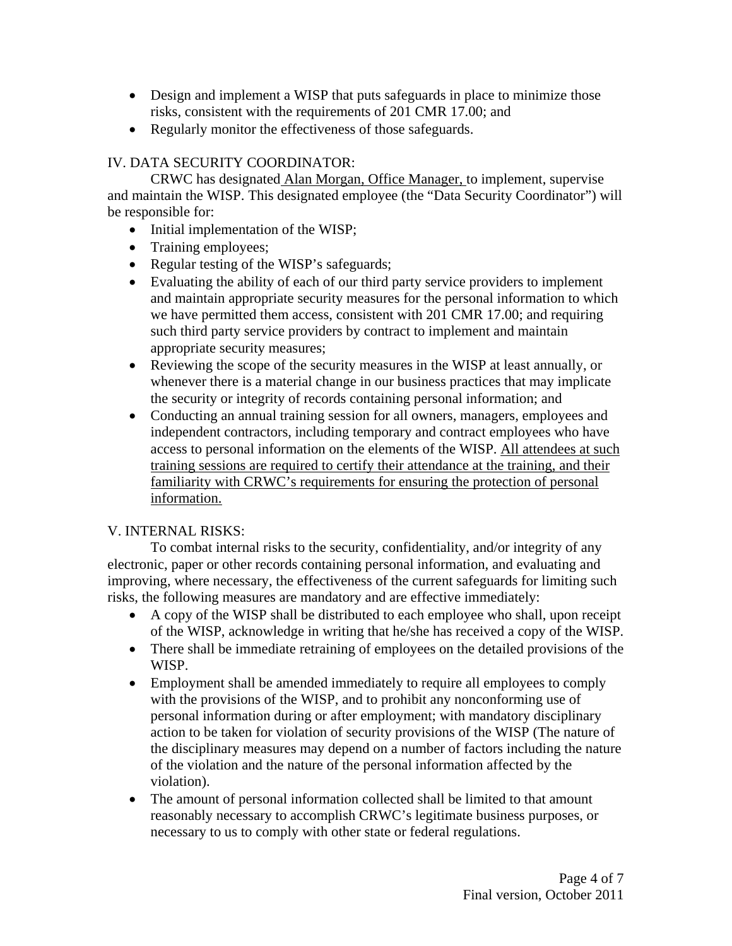- Design and implement a WISP that puts safeguards in place to minimize those risks, consistent with the requirements of 201 CMR 17.00; and
- Regularly monitor the effectiveness of those safeguards.

## IV. DATA SECURITY COORDINATOR:

CRWC has designated Alan Morgan, Office Manager, to implement, supervise and maintain the WISP. This designated employee (the "Data Security Coordinator") will be responsible for:

- Initial implementation of the WISP;
- Training employees;
- Regular testing of the WISP's safeguards;
- Evaluating the ability of each of our third party service providers to implement and maintain appropriate security measures for the personal information to which we have permitted them access, consistent with 201 CMR 17.00; and requiring such third party service providers by contract to implement and maintain appropriate security measures;
- Reviewing the scope of the security measures in the WISP at least annually, or whenever there is a material change in our business practices that may implicate the security or integrity of records containing personal information; and
- Conducting an annual training session for all owners, managers, employees and independent contractors, including temporary and contract employees who have access to personal information on the elements of the WISP. All attendees at such training sessions are required to certify their attendance at the training, and their familiarity with CRWC's requirements for ensuring the protection of personal information.

### V. INTERNAL RISKS:

To combat internal risks to the security, confidentiality, and/or integrity of any electronic, paper or other records containing personal information, and evaluating and improving, where necessary, the effectiveness of the current safeguards for limiting such risks, the following measures are mandatory and are effective immediately:

- A copy of the WISP shall be distributed to each employee who shall, upon receipt of the WISP, acknowledge in writing that he/she has received a copy of the WISP.
- There shall be immediate retraining of employees on the detailed provisions of the WISP.
- Employment shall be amended immediately to require all employees to comply with the provisions of the WISP, and to prohibit any nonconforming use of personal information during or after employment; with mandatory disciplinary action to be taken for violation of security provisions of the WISP (The nature of the disciplinary measures may depend on a number of factors including the nature of the violation and the nature of the personal information affected by the violation).
- The amount of personal information collected shall be limited to that amount reasonably necessary to accomplish CRWC's legitimate business purposes, or necessary to us to comply with other state or federal regulations.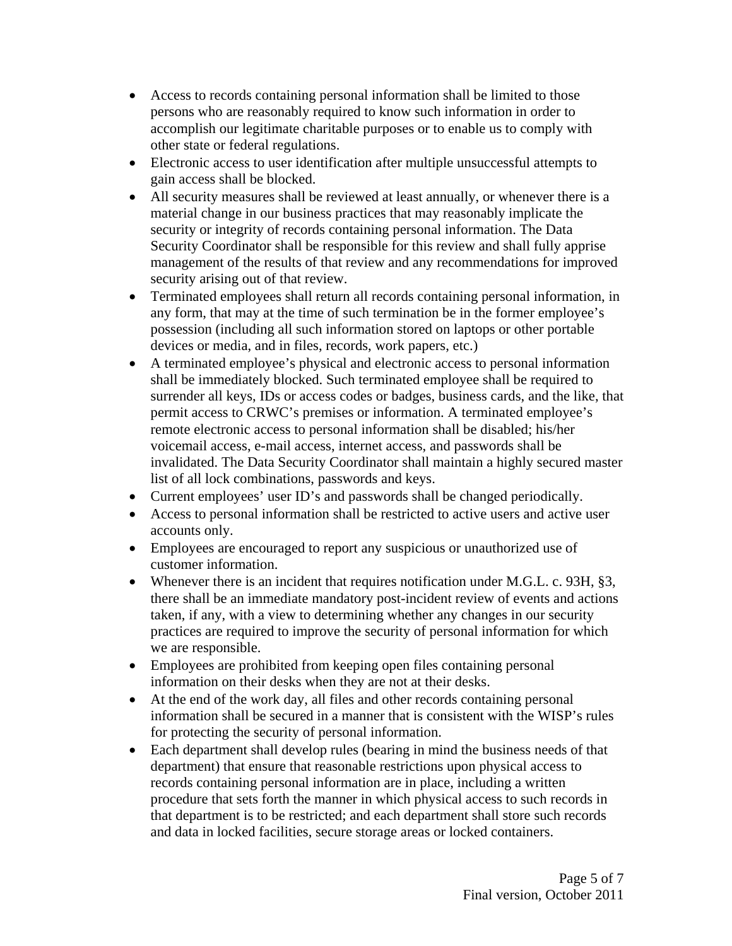- Access to records containing personal information shall be limited to those persons who are reasonably required to know such information in order to accomplish our legitimate charitable purposes or to enable us to comply with other state or federal regulations.
- Electronic access to user identification after multiple unsuccessful attempts to gain access shall be blocked.
- All security measures shall be reviewed at least annually, or whenever there is a material change in our business practices that may reasonably implicate the security or integrity of records containing personal information. The Data Security Coordinator shall be responsible for this review and shall fully apprise management of the results of that review and any recommendations for improved security arising out of that review.
- Terminated employees shall return all records containing personal information, in any form, that may at the time of such termination be in the former employee's possession (including all such information stored on laptops or other portable devices or media, and in files, records, work papers, etc.)
- A terminated employee's physical and electronic access to personal information shall be immediately blocked. Such terminated employee shall be required to surrender all keys, IDs or access codes or badges, business cards, and the like, that permit access to CRWC's premises or information. A terminated employee's remote electronic access to personal information shall be disabled; his/her voicemail access, e-mail access, internet access, and passwords shall be invalidated. The Data Security Coordinator shall maintain a highly secured master list of all lock combinations, passwords and keys.
- Current employees' user ID's and passwords shall be changed periodically.
- Access to personal information shall be restricted to active users and active user accounts only.
- Employees are encouraged to report any suspicious or unauthorized use of customer information.
- Whenever there is an incident that requires notification under M.G.L. c. 93H, §3, there shall be an immediate mandatory post-incident review of events and actions taken, if any, with a view to determining whether any changes in our security practices are required to improve the security of personal information for which we are responsible.
- Employees are prohibited from keeping open files containing personal information on their desks when they are not at their desks.
- At the end of the work day, all files and other records containing personal information shall be secured in a manner that is consistent with the WISP's rules for protecting the security of personal information.
- Each department shall develop rules (bearing in mind the business needs of that department) that ensure that reasonable restrictions upon physical access to records containing personal information are in place, including a written procedure that sets forth the manner in which physical access to such records in that department is to be restricted; and each department shall store such records and data in locked facilities, secure storage areas or locked containers.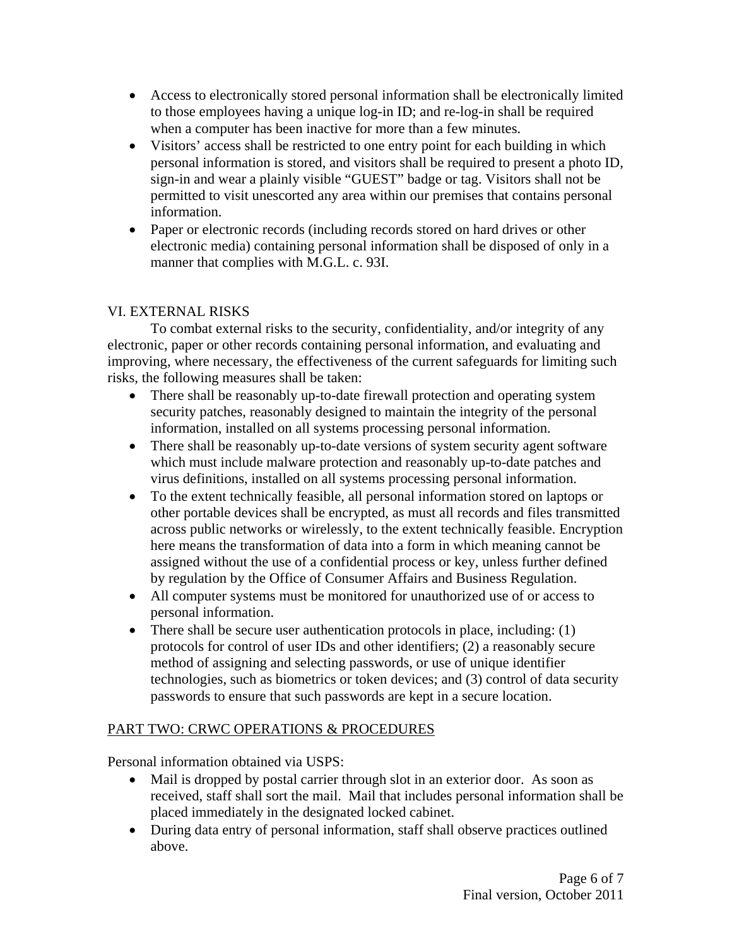- Access to electronically stored personal information shall be electronically limited to those employees having a unique log-in ID; and re-log-in shall be required when a computer has been inactive for more than a few minutes.
- Visitors' access shall be restricted to one entry point for each building in which personal information is stored, and visitors shall be required to present a photo ID, sign-in and wear a plainly visible "GUEST" badge or tag. Visitors shall not be permitted to visit unescorted any area within our premises that contains personal information.
- Paper or electronic records (including records stored on hard drives or other electronic media) containing personal information shall be disposed of only in a manner that complies with M.G.L. c. 93I.

# VI. EXTERNAL RISKS

To combat external risks to the security, confidentiality, and/or integrity of any electronic, paper or other records containing personal information, and evaluating and improving, where necessary, the effectiveness of the current safeguards for limiting such risks, the following measures shall be taken:

- There shall be reasonably up-to-date firewall protection and operating system security patches, reasonably designed to maintain the integrity of the personal information, installed on all systems processing personal information.
- There shall be reasonably up-to-date versions of system security agent software which must include malware protection and reasonably up-to-date patches and virus definitions, installed on all systems processing personal information.
- To the extent technically feasible, all personal information stored on laptops or other portable devices shall be encrypted, as must all records and files transmitted across public networks or wirelessly, to the extent technically feasible. Encryption here means the transformation of data into a form in which meaning cannot be assigned without the use of a confidential process or key, unless further defined by regulation by the Office of Consumer Affairs and Business Regulation.
- All computer systems must be monitored for unauthorized use of or access to personal information.
- There shall be secure user authentication protocols in place, including: (1) protocols for control of user IDs and other identifiers; (2) a reasonably secure method of assigning and selecting passwords, or use of unique identifier technologies, such as biometrics or token devices; and (3) control of data security passwords to ensure that such passwords are kept in a secure location.

# PART TWO: CRWC OPERATIONS & PROCEDURES

Personal information obtained via USPS:

- Mail is dropped by postal carrier through slot in an exterior door. As soon as received, staff shall sort the mail. Mail that includes personal information shall be placed immediately in the designated locked cabinet.
- During data entry of personal information, staff shall observe practices outlined above.